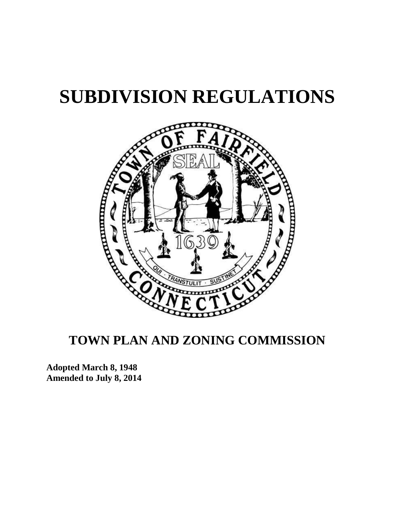# **SUBDIVISION REGULATIONS**



# **TOWN PLAN AND ZONING COMMISSION**

**Adopted March 8, 1948 Amended to July 8, 2014**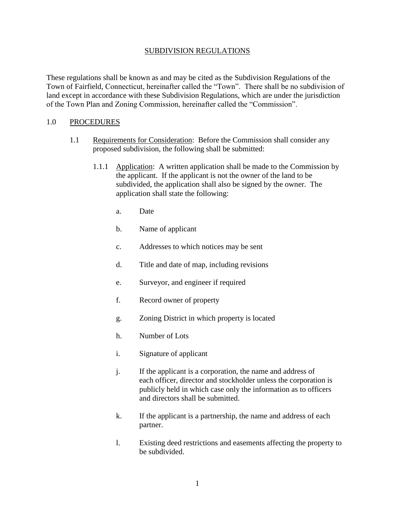### SUBDIVISION REGULATIONS

These regulations shall be known as and may be cited as the Subdivision Regulations of the Town of Fairfield, Connecticut, hereinafter called the "Town". There shall be no subdivision of land except in accordance with these Subdivision Regulations, which are under the jurisdiction of the Town Plan and Zoning Commission, hereinafter called the "Commission".

# 1.0 PROCEDURES

- 1.1 Requirements for Consideration: Before the Commission shall consider any proposed subdivision, the following shall be submitted:
	- 1.1.1 Application: A written application shall be made to the Commission by the applicant. If the applicant is not the owner of the land to be subdivided, the application shall also be signed by the owner. The application shall state the following:
		- a. Date
		- b. Name of applicant
		- c. Addresses to which notices may be sent
		- d. Title and date of map, including revisions
		- e. Surveyor, and engineer if required
		- f. Record owner of property
		- g. Zoning District in which property is located
		- h. Number of Lots
		- i. Signature of applicant
		- j. If the applicant is a corporation, the name and address of each officer, director and stockholder unless the corporation is publicly held in which case only the information as to officers and directors shall be submitted.
		- k. If the applicant is a partnership, the name and address of each partner.
		- l. Existing deed restrictions and easements affecting the property to be subdivided.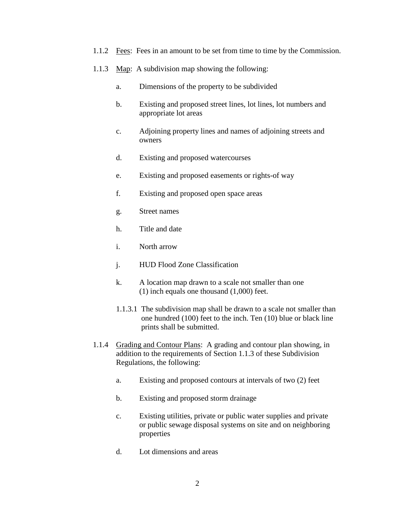- 1.1.2 Fees: Fees in an amount to be set from time to time by the Commission.
- 1.1.3 Map: A subdivision map showing the following:
	- a. Dimensions of the property to be subdivided
	- b. Existing and proposed street lines, lot lines, lot numbers and appropriate lot areas
	- c. Adjoining property lines and names of adjoining streets and owners
	- d. Existing and proposed watercourses
	- e. Existing and proposed easements or rights-of way
	- f. Existing and proposed open space areas
	- g. Street names
	- h. Title and date
	- i. North arrow
	- j. HUD Flood Zone Classification
	- k. A location map drawn to a scale not smaller than one (1) inch equals one thousand (1,000) feet.
	- 1.1.3.1 The subdivision map shall be drawn to a scale not smaller than one hundred (100) feet to the inch. Ten (10) blue or black line prints shall be submitted.
- 1.1.4 Grading and Contour Plans: A grading and contour plan showing, in addition to the requirements of Section 1.1.3 of these Subdivision Regulations, the following:
	- a. Existing and proposed contours at intervals of two (2) feet
	- b. Existing and proposed storm drainage
	- c. Existing utilities, private or public water supplies and private or public sewage disposal systems on site and on neighboring properties
	- d. Lot dimensions and areas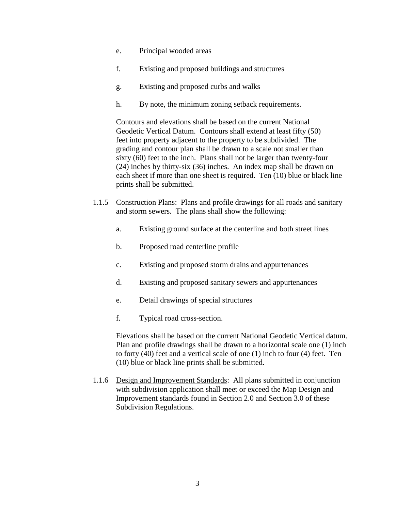- e. Principal wooded areas
- f. Existing and proposed buildings and structures
- g. Existing and proposed curbs and walks
- h. By note, the minimum zoning setback requirements.

Contours and elevations shall be based on the current National Geodetic Vertical Datum. Contours shall extend at least fifty (50) feet into property adjacent to the property to be subdivided. The grading and contour plan shall be drawn to a scale not smaller than sixty (60) feet to the inch. Plans shall not be larger than twenty-four (24) inches by thirty-six (36) inches. An index map shall be drawn on each sheet if more than one sheet is required. Ten (10) blue or black line prints shall be submitted.

- 1.1.5 Construction Plans: Plans and profile drawings for all roads and sanitary and storm sewers. The plans shall show the following:
	- a. Existing ground surface at the centerline and both street lines
	- b. Proposed road centerline profile
	- c. Existing and proposed storm drains and appurtenances
	- d. Existing and proposed sanitary sewers and appurtenances
	- e. Detail drawings of special structures
	- f. Typical road cross-section.

Elevations shall be based on the current National Geodetic Vertical datum. Plan and profile drawings shall be drawn to a horizontal scale one (1) inch to forty (40) feet and a vertical scale of one (1) inch to four (4) feet. Ten (10) blue or black line prints shall be submitted.

1.1.6 Design and Improvement Standards: All plans submitted in conjunction with subdivision application shall meet or exceed the Map Design and Improvement standards found in Section 2.0 and Section 3.0 of these Subdivision Regulations.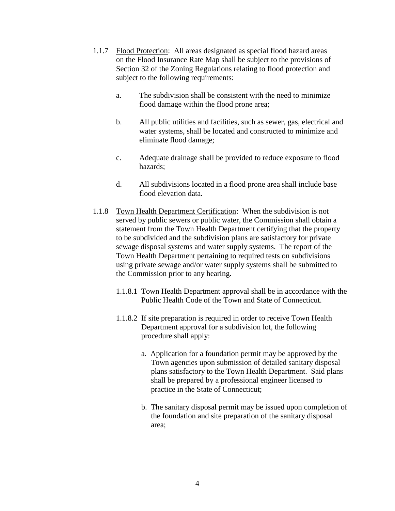- 1.1.7 Flood Protection: All areas designated as special flood hazard areas on the Flood Insurance Rate Map shall be subject to the provisions of Section 32 of the Zoning Regulations relating to flood protection and subject to the following requirements:
	- a. The subdivision shall be consistent with the need to minimize flood damage within the flood prone area;
	- b. All public utilities and facilities, such as sewer, gas, electrical and water systems, shall be located and constructed to minimize and eliminate flood damage;
	- c. Adequate drainage shall be provided to reduce exposure to flood hazards;
	- d. All subdivisions located in a flood prone area shall include base flood elevation data.
- 1.1.8 Town Health Department Certification: When the subdivision is not served by public sewers or public water, the Commission shall obtain a statement from the Town Health Department certifying that the property to be subdivided and the subdivision plans are satisfactory for private sewage disposal systems and water supply systems. The report of the Town Health Department pertaining to required tests on subdivisions using private sewage and/or water supply systems shall be submitted to the Commission prior to any hearing.
	- 1.1.8.1 Town Health Department approval shall be in accordance with the Public Health Code of the Town and State of Connecticut.
	- 1.1.8.2 If site preparation is required in order to receive Town Health Department approval for a subdivision lot, the following procedure shall apply:
		- a. Application for a foundation permit may be approved by the Town agencies upon submission of detailed sanitary disposal plans satisfactory to the Town Health Department. Said plans shall be prepared by a professional engineer licensed to practice in the State of Connecticut;
		- b. The sanitary disposal permit may be issued upon completion of the foundation and site preparation of the sanitary disposal area;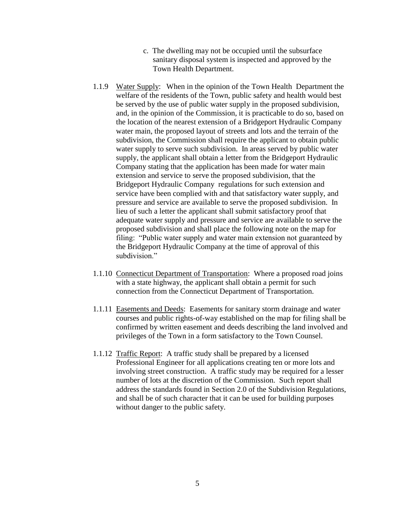- c. The dwelling may not be occupied until the subsurface sanitary disposal system is inspected and approved by the Town Health Department.
- 1.1.9 Water Supply: When in the opinion of the Town Health Department the welfare of the residents of the Town, public safety and health would best be served by the use of public water supply in the proposed subdivision, and, in the opinion of the Commission, it is practicable to do so, based on the location of the nearest extension of a Bridgeport Hydraulic Company water main, the proposed layout of streets and lots and the terrain of the subdivision, the Commission shall require the applicant to obtain public water supply to serve such subdivision. In areas served by public water supply, the applicant shall obtain a letter from the Bridgeport Hydraulic Company stating that the application has been made for water main extension and service to serve the proposed subdivision, that the Bridgeport Hydraulic Company regulations for such extension and service have been complied with and that satisfactory water supply, and pressure and service are available to serve the proposed subdivision. In lieu of such a letter the applicant shall submit satisfactory proof that adequate water supply and pressure and service are available to serve the proposed subdivision and shall place the following note on the map for filing: "Public water supply and water main extension not guaranteed by the Bridgeport Hydraulic Company at the time of approval of this subdivision."
- 1.1.10 Connecticut Department of Transportation: Where a proposed road joins with a state highway, the applicant shall obtain a permit for such connection from the Connecticut Department of Transportation.
- 1.1.11 Easements and Deeds: Easements for sanitary storm drainage and water courses and public rights-of-way established on the map for filing shall be confirmed by written easement and deeds describing the land involved and privileges of the Town in a form satisfactory to the Town Counsel.
- 1.1.12 Traffic Report: A traffic study shall be prepared by a licensed Professional Engineer for all applications creating ten or more lots and involving street construction. A traffic study may be required for a lesser number of lots at the discretion of the Commission. Such report shall address the standards found in Section 2.0 of the Subdivision Regulations, and shall be of such character that it can be used for building purposes without danger to the public safety.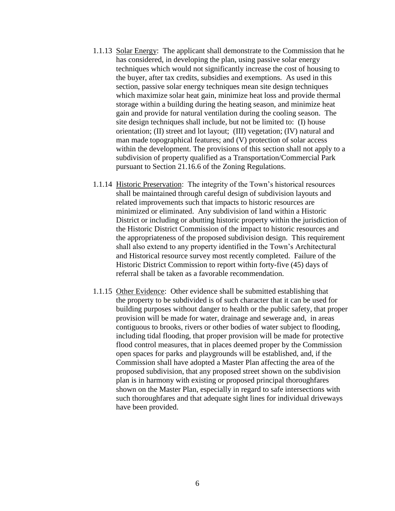- 1.1.13 Solar Energy: The applicant shall demonstrate to the Commission that he has considered, in developing the plan, using passive solar energy techniques which would not significantly increase the cost of housing to the buyer, after tax credits, subsidies and exemptions. As used in this section, passive solar energy techniques mean site design techniques which maximize solar heat gain, minimize heat loss and provide thermal storage within a building during the heating season, and minimize heat gain and provide for natural ventilation during the cooling season. The site design techniques shall include, but not be limited to: (I) house orientation; (II) street and lot layout; (III) vegetation; (IV) natural and man made topographical features; and (V) protection of solar access within the development. The provisions of this section shall not apply to a subdivision of property qualified as a Transportation/Commercial Park pursuant to Section 21.16.6 of the Zoning Regulations.
- 1.1.14 Historic Preservation: The integrity of the Town's historical resources shall be maintained through careful design of subdivision layouts and related improvements such that impacts to historic resources are minimized or eliminated. Any subdivision of land within a Historic District or including or abutting historic property within the jurisdiction of the Historic District Commission of the impact to historic resources and the appropriateness of the proposed subdivision design. This requirement shall also extend to any property identified in the Town's Architectural and Historical resource survey most recently completed. Failure of the Historic District Commission to report within forty-five (45) days of referral shall be taken as a favorable recommendation.
- 1.1.15 Other Evidence: Other evidence shall be submitted establishing that the property to be subdivided is of such character that it can be used for building purposes without danger to health or the public safety, that proper provision will be made for water, drainage and sewerage and, in areas contiguous to brooks, rivers or other bodies of water subject to flooding, including tidal flooding, that proper provision will be made for protective flood control measures, that in places deemed proper by the Commission open spaces for parks and playgrounds will be established, and, if the Commission shall have adopted a Master Plan affecting the area of the proposed subdivision, that any proposed street shown on the subdivision plan is in harmony with existing or proposed principal thoroughfares shown on the Master Plan, especially in regard to safe intersections with such thoroughfares and that adequate sight lines for individual driveways have been provided.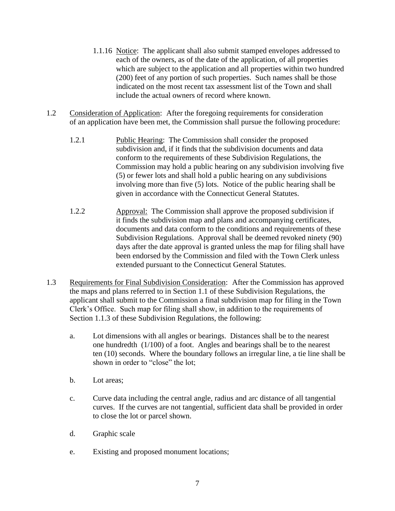- 1.1.16 Notice: The applicant shall also submit stamped envelopes addressed to each of the owners, as of the date of the application, of all properties which are subject to the application and all properties within two hundred (200) feet of any portion of such properties. Such names shall be those indicated on the most recent tax assessment list of the Town and shall include the actual owners of record where known.
- 1.2 Consideration of Application: After the foregoing requirements for consideration of an application have been met, the Commission shall pursue the following procedure:
	- 1.2.1 Public Hearing: The Commission shall consider the proposed subdivision and, if it finds that the subdivision documents and data conform to the requirements of these Subdivision Regulations, the Commission may hold a public hearing on any subdivision involving five (5) or fewer lots and shall hold a public hearing on any subdivisions involving more than five (5) lots. Notice of the public hearing shall be given in accordance with the Connecticut General Statutes.
	- 1.2.2 Approval: The Commission shall approve the proposed subdivision if it finds the subdivision map and plans and accompanying certificates, documents and data conform to the conditions and requirements of these Subdivision Regulations. Approval shall be deemed revoked ninety (90) days after the date approval is granted unless the map for filing shall have been endorsed by the Commission and filed with the Town Clerk unless extended pursuant to the Connecticut General Statutes.
- 1.3 Requirements for Final Subdivision Consideration: After the Commission has approved the maps and plans referred to in Section 1.1 of these Subdivision Regulations, the applicant shall submit to the Commission a final subdivision map for filing in the Town Clerk's Office. Such map for filing shall show, in addition to the requirements of Section 1.1.3 of these Subdivision Regulations, the following:
	- a. Lot dimensions with all angles or bearings. Distances shall be to the nearest one hundredth (1/100) of a foot. Angles and bearings shall be to the nearest ten (10) seconds. Where the boundary follows an irregular line, a tie line shall be shown in order to "close" the lot;
	- b. Lot areas;
	- c. Curve data including the central angle, radius and arc distance of all tangential curves. If the curves are not tangential, sufficient data shall be provided in order to close the lot or parcel shown.
	- d. Graphic scale
	- e. Existing and proposed monument locations;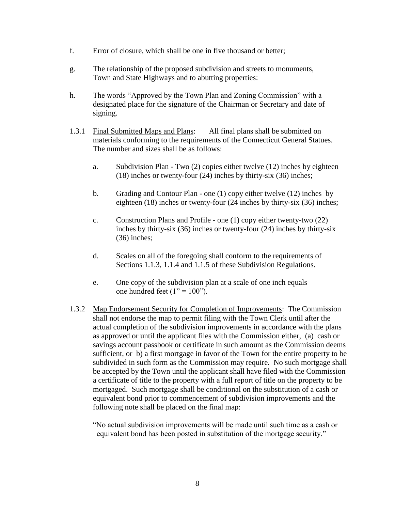- f. Error of closure, which shall be one in five thousand or better;
- g. The relationship of the proposed subdivision and streets to monuments, Town and State Highways and to abutting properties:
- h. The words "Approved by the Town Plan and Zoning Commission" with a designated place for the signature of the Chairman or Secretary and date of signing.
- 1.3.1 Final Submitted Maps and Plans: All final plans shall be submitted on materials conforming to the requirements of the Connecticut General Statues. The number and sizes shall be as follows:
	- a. Subdivision Plan Two (2) copies either twelve (12) inches by eighteen (18) inches or twenty-four (24) inches by thirty-six (36) inches;
	- b. Grading and Contour Plan one (1) copy either twelve (12) inches by eighteen (18) inches or twenty-four (24 inches by thirty-six (36) inches;
	- c. Construction Plans and Profile one (1) copy either twenty-two (22) inches by thirty-six (36) inches or twenty-four (24) inches by thirty-six (36) inches;
	- d. Scales on all of the foregoing shall conform to the requirements of Sections 1.1.3, 1.1.4 and 1.1.5 of these Subdivision Regulations.
	- e. One copy of the subdivision plan at a scale of one inch equals one hundred feet  $(1" = 100")$ .
- 1.3.2 Map Endorsement Security for Completion of Improvements: The Commission shall not endorse the map to permit filing with the Town Clerk until after the actual completion of the subdivision improvements in accordance with the plans as approved or until the applicant files with the Commission either, (a) cash or savings account passbook or certificate in such amount as the Commission deems sufficient, or b) a first mortgage in favor of the Town for the entire property to be subdivided in such form as the Commission may require. No such mortgage shall be accepted by the Town until the applicant shall have filed with the Commission a certificate of title to the property with a full report of title on the property to be mortgaged. Such mortgage shall be conditional on the substitution of a cash or equivalent bond prior to commencement of subdivision improvements and the following note shall be placed on the final map:

"No actual subdivision improvements will be made until such time as a cash or equivalent bond has been posted in substitution of the mortgage security."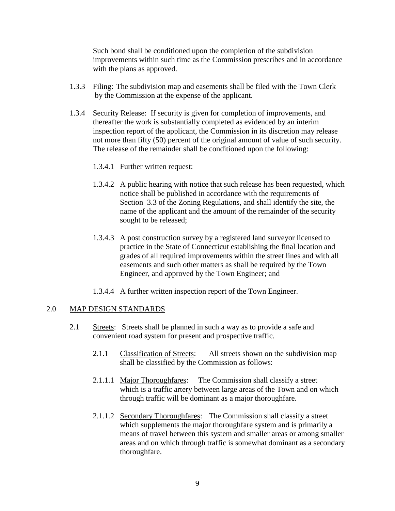Such bond shall be conditioned upon the completion of the subdivision improvements within such time as the Commission prescribes and in accordance with the plans as approved.

- 1.3.3 Filing: The subdivision map and easements shall be filed with the Town Clerk by the Commission at the expense of the applicant.
- 1.3.4 Security Release: If security is given for completion of improvements, and thereafter the work is substantially completed as evidenced by an interim inspection report of the applicant, the Commission in its discretion may release not more than fifty (50) percent of the original amount of value of such security. The release of the remainder shall be conditioned upon the following:
	- 1.3.4.1 Further written request:
	- 1.3.4.2 A public hearing with notice that such release has been requested, which notice shall be published in accordance with the requirements of Section 3.3 of the Zoning Regulations, and shall identify the site, the name of the applicant and the amount of the remainder of the security sought to be released;
	- 1.3.4.3 A post construction survey by a registered land surveyor licensed to practice in the State of Connecticut establishing the final location and grades of all required improvements within the street lines and with all easements and such other matters as shall be required by the Town Engineer, and approved by the Town Engineer; and
	- 1.3.4.4 A further written inspection report of the Town Engineer.

#### 2.0 MAP DESIGN STANDARDS

- 2.1 Streets: Streets shall be planned in such a way as to provide a safe and convenient road system for present and prospective traffic.
	- 2.1.1 Classification of Streets: All streets shown on the subdivision map shall be classified by the Commission as follows:
	- 2.1.1.1 Major Thoroughfares: The Commission shall classify a street which is a traffic artery between large areas of the Town and on which through traffic will be dominant as a major thoroughfare.
	- 2.1.1.2 Secondary Thoroughfares: The Commission shall classify a street which supplements the major thoroughfare system and is primarily a means of travel between this system and smaller areas or among smaller areas and on which through traffic is somewhat dominant as a secondary thoroughfare.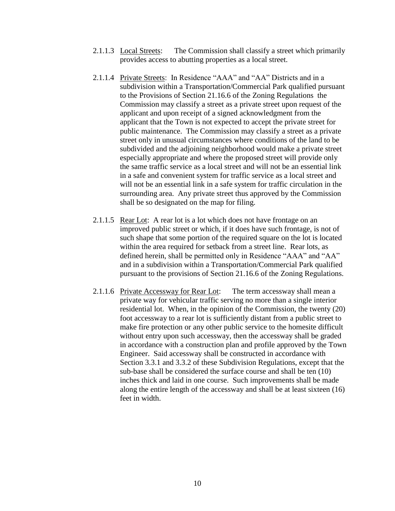- 2.1.1.3 Local Streets: The Commission shall classify a street which primarily provides access to abutting properties as a local street.
- 2.1.1.4 Private Streets: In Residence "AAA" and "AA" Districts and in a subdivision within a Transportation/Commercial Park qualified pursuant to the Provisions of Section 21.16.6 of the Zoning Regulations the Commission may classify a street as a private street upon request of the applicant and upon receipt of a signed acknowledgment from the applicant that the Town is not expected to accept the private street for public maintenance. The Commission may classify a street as a private street only in unusual circumstances where conditions of the land to be subdivided and the adjoining neighborhood would make a private street especially appropriate and where the proposed street will provide only the same traffic service as a local street and will not be an essential link in a safe and convenient system for traffic service as a local street and will not be an essential link in a safe system for traffic circulation in the surrounding area. Any private street thus approved by the Commission shall be so designated on the map for filing.
- 2.1.1.5 Rear Lot: A rear lot is a lot which does not have frontage on an improved public street or which, if it does have such frontage, is not of such shape that some portion of the required square on the lot is located within the area required for setback from a street line. Rear lots, as defined herein, shall be permitted only in Residence "AAA" and "AA" and in a subdivision within a Transportation/Commercial Park qualified pursuant to the provisions of Section 21.16.6 of the Zoning Regulations.
- 2.1.1.6 Private Accessway for Rear Lot: The term accessway shall mean a private way for vehicular traffic serving no more than a single interior residential lot. When, in the opinion of the Commission, the twenty (20) foot accessway to a rear lot is sufficiently distant from a public street to make fire protection or any other public service to the homesite difficult without entry upon such accessway, then the accessway shall be graded in accordance with a construction plan and profile approved by the Town Engineer. Said accessway shall be constructed in accordance with Section 3.3.1 and 3.3.2 of these Subdivision Regulations, except that the sub-base shall be considered the surface course and shall be ten (10) inches thick and laid in one course. Such improvements shall be made along the entire length of the accessway and shall be at least sixteen (16) feet in width.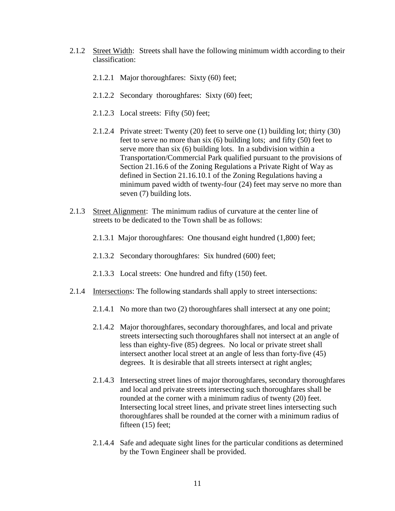- 2.1.2 Street Width: Streets shall have the following minimum width according to their classification:
	- 2.1.2.1 Major thoroughfares: Sixty (60) feet;
	- 2.1.2.2 Secondary thoroughfares: Sixty (60) feet;
	- 2.1.2.3 Local streets: Fifty (50) feet;
	- 2.1.2.4 Private street: Twenty (20) feet to serve one (1) building lot; thirty (30) feet to serve no more than six (6) building lots; and fifty (50) feet to serve more than six (6) building lots. In a subdivision within a Transportation/Commercial Park qualified pursuant to the provisions of Section 21.16.6 of the Zoning Regulations a Private Right of Way as defined in Section 21.16.10.1 of the Zoning Regulations having a minimum paved width of twenty-four (24) feet may serve no more than seven (7) building lots.
- 2.1.3 Street Alignment: The minimum radius of curvature at the center line of streets to be dedicated to the Town shall be as follows:
	- 2.1.3.1 Major thoroughfares: One thousand eight hundred (1,800) feet;
	- 2.1.3.2 Secondary thoroughfares: Six hundred (600) feet;
	- 2.1.3.3 Local streets: One hundred and fifty (150) feet.
- 2.1.4 Intersections: The following standards shall apply to street intersections:
	- 2.1.4.1 No more than two (2) thoroughfares shall intersect at any one point;
	- 2.1.4.2 Major thoroughfares, secondary thoroughfares, and local and private streets intersecting such thoroughfares shall not intersect at an angle of less than eighty-five (85) degrees. No local or private street shall intersect another local street at an angle of less than forty-five (45) degrees. It is desirable that all streets intersect at right angles;
	- 2.1.4.3 Intersecting street lines of major thoroughfares, secondary thoroughfares and local and private streets intersecting such thoroughfares shall be rounded at the corner with a minimum radius of twenty (20) feet. Intersecting local street lines, and private street lines intersecting such thoroughfares shall be rounded at the corner with a minimum radius of fifteen (15) feet;
	- 2.1.4.4 Safe and adequate sight lines for the particular conditions as determined by the Town Engineer shall be provided.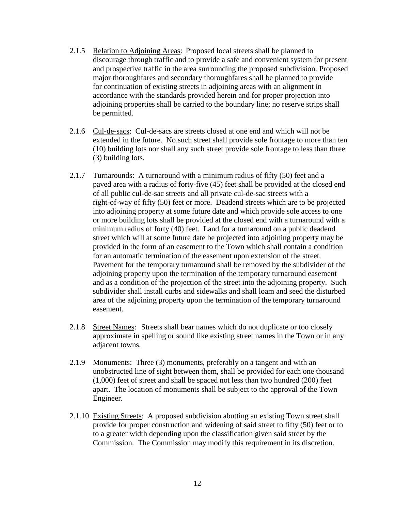- 2.1.5 Relation to Adjoining Areas: Proposed local streets shall be planned to discourage through traffic and to provide a safe and convenient system for present and prospective traffic in the area surrounding the proposed subdivision. Proposed major thoroughfares and secondary thoroughfares shall be planned to provide for continuation of existing streets in adjoining areas with an alignment in accordance with the standards provided herein and for proper projection into adjoining properties shall be carried to the boundary line; no reserve strips shall be permitted.
- 2.1.6 Cul-de-sacs: Cul-de-sacs are streets closed at one end and which will not be extended in the future. No such street shall provide sole frontage to more than ten (10) building lots nor shall any such street provide sole frontage to less than three (3) building lots.
- 2.1.7 Turnarounds: A turnaround with a minimum radius of fifty (50) feet and a paved area with a radius of forty-five (45) feet shall be provided at the closed end of all public cul-de-sac streets and all private cul-de-sac streets with a right-of-way of fifty (50) feet or more. Deadend streets which are to be projected into adjoining property at some future date and which provide sole access to one or more building lots shall be provided at the closed end with a turnaround with a minimum radius of forty (40) feet. Land for a turnaround on a public deadend street which will at some future date be projected into adjoining property may be provided in the form of an easement to the Town which shall contain a condition for an automatic termination of the easement upon extension of the street. Pavement for the temporary turnaround shall be removed by the subdivider of the adjoining property upon the termination of the temporary turnaround easement and as a condition of the projection of the street into the adjoining property. Such subdivider shall install curbs and sidewalks and shall loam and seed the disturbed area of the adjoining property upon the termination of the temporary turnaround easement.
- 2.1.8 Street Names: Streets shall bear names which do not duplicate or too closely approximate in spelling or sound like existing street names in the Town or in any adjacent towns.
- 2.1.9 Monuments: Three (3) monuments, preferably on a tangent and with an unobstructed line of sight between them, shall be provided for each one thousand (1,000) feet of street and shall be spaced not less than two hundred (200) feet apart. The location of monuments shall be subject to the approval of the Town Engineer.
- 2.1.10 Existing Streets: A proposed subdivision abutting an existing Town street shall provide for proper construction and widening of said street to fifty (50) feet or to to a greater width depending upon the classification given said street by the Commission. The Commission may modify this requirement in its discretion.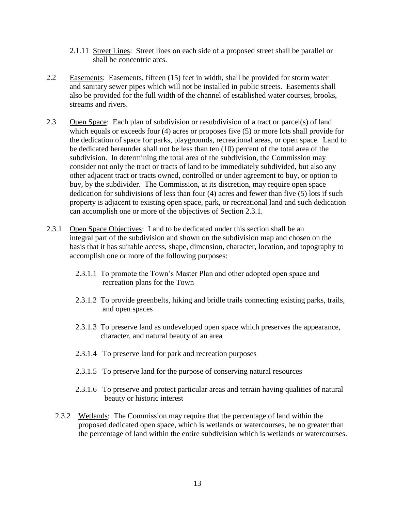- 2.1.11 Street Lines: Street lines on each side of a proposed street shall be parallel or shall be concentric arcs.
- 2.2 Easements: Easements, fifteen (15) feet in width, shall be provided for storm water and sanitary sewer pipes which will not be installed in public streets. Easements shall also be provided for the full width of the channel of established water courses, brooks, streams and rivers.
- 2.3Open Space: Each plan of subdivision or resubdivision of a tract or parcel(s) of land which equals or exceeds four (4) acres or proposes five (5) or more lots shall provide for the dedication of space for parks, playgrounds, recreational areas, or open space. Land to be dedicated hereunder shall not be less than ten (10) percent of the total area of the subdivision. In determining the total area of the subdivision, the Commission may consider not only the tract or tracts of land to be immediately subdivided, but also any other adjacent tract or tracts owned, controlled or under agreement to buy, or option to buy, by the subdivider. The Commission, at its discretion, may require open space dedication for subdivisions of less than four (4) acres and fewer than five (5) lots if such property is adjacent to existing open space, park, or recreational land and such dedication can accomplish one or more of the objectives of Section 2.3.1.
- 2.3.1 Open Space Objectives: Land to be dedicated under this section shall be an integral part of the subdivision and shown on the subdivision map and chosen on the basis that it has suitable access, shape, dimension, character, location, and topography to accomplish one or more of the following purposes:
	- 2.3.1.1 To promote the Town's Master Plan and other adopted open space and recreation plans for the Town
	- 2.3.1.2 To provide greenbelts, hiking and bridle trails connecting existing parks, trails, and open spaces
	- 2.3.1.3 To preserve land as undeveloped open space which preserves the appearance, character, and natural beauty of an area
	- 2.3.1.4 To preserve land for park and recreation purposes
	- 2.3.1.5 To preserve land for the purpose of conserving natural resources
	- 2.3.1.6 To preserve and protect particular areas and terrain having qualities of natural beauty or historic interest
	- 2.3.2 Wetlands: The Commission may require that the percentage of land within the proposed dedicated open space, which is wetlands or watercourses, be no greater than the percentage of land within the entire subdivision which is wetlands or watercourses.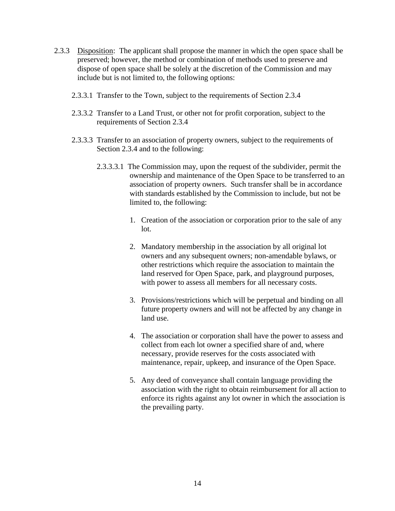- 2.3.3 Disposition: The applicant shall propose the manner in which the open space shall be preserved; however, the method or combination of methods used to preserve and dispose of open space shall be solely at the discretion of the Commission and may include but is not limited to, the following options:
	- 2.3.3.1 Transfer to the Town, subject to the requirements of Section 2.3.4
	- 2.3.3.2 Transfer to a Land Trust, or other not for profit corporation, subject to the requirements of Section 2.3.4
	- 2.3.3.3 Transfer to an association of property owners, subject to the requirements of Section 2.3.4 and to the following:
		- 2.3.3.3.1 The Commission may, upon the request of the subdivider, permit the ownership and maintenance of the Open Space to be transferred to an association of property owners. Such transfer shall be in accordance with standards established by the Commission to include, but not be limited to, the following:
			- 1. Creation of the association or corporation prior to the sale of any  $1$ ot.
			- 2. Mandatory membership in the association by all original lot owners and any subsequent owners; non-amendable bylaws, or other restrictions which require the association to maintain the land reserved for Open Space, park, and playground purposes, with power to assess all members for all necessary costs.
			- 3. Provisions/restrictions which will be perpetual and binding on all future property owners and will not be affected by any change in land use.
			- 4. The association or corporation shall have the power to assess and collect from each lot owner a specified share of and, where necessary, provide reserves for the costs associated with maintenance, repair, upkeep, and insurance of the Open Space.
			- 5. Any deed of conveyance shall contain language providing the association with the right to obtain reimbursement for all action to enforce its rights against any lot owner in which the association is the prevailing party.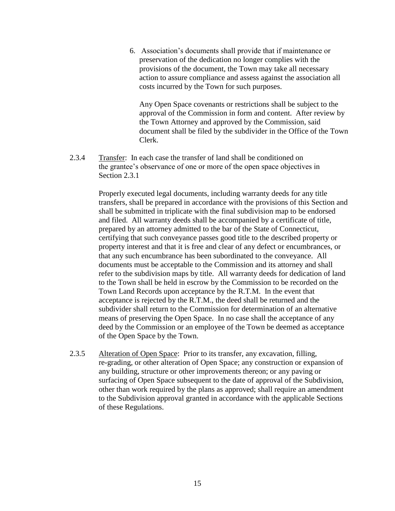6. Association's documents shall provide that if maintenance or preservation of the dedication no longer complies with the provisions of the document, the Town may take all necessary action to assure compliance and assess against the association all costs incurred by the Town for such purposes.

 Any Open Space covenants or restrictions shall be subject to the approval of the Commission in form and content. After review by the Town Attorney and approved by the Commission, said document shall be filed by the subdivider in the Office of the Town Clerk.

 2.3.4 Transfer: In each case the transfer of land shall be conditioned on the grantee's observance of one or more of the open space objectives in Section 2.3.1

> Properly executed legal documents, including warranty deeds for any title transfers, shall be prepared in accordance with the provisions of this Section and shall be submitted in triplicate with the final subdivision map to be endorsed and filed. All warranty deeds shall be accompanied by a certificate of title, prepared by an attorney admitted to the bar of the State of Connecticut, certifying that such conveyance passes good title to the described property or property interest and that it is free and clear of any defect or encumbrances, or that any such encumbrance has been subordinated to the conveyance. All documents must be acceptable to the Commission and its attorney and shall refer to the subdivision maps by title. All warranty deeds for dedication of land to the Town shall be held in escrow by the Commission to be recorded on the Town Land Records upon acceptance by the R.T.M. In the event that acceptance is rejected by the R.T.M., the deed shall be returned and the subdivider shall return to the Commission for determination of an alternative means of preserving the Open Space. In no case shall the acceptance of any deed by the Commission or an employee of the Town be deemed as acceptance of the Open Space by the Town.

2.3.5 Alteration of Open Space: Prior to its transfer, any excavation, filling, re-grading, or other alteration of Open Space; any construction or expansion of any building, structure or other improvements thereon; or any paving or surfacing of Open Space subsequent to the date of approval of the Subdivision, other than work required by the plans as approved; shall require an amendment to the Subdivision approval granted in accordance with the applicable Sections of these Regulations.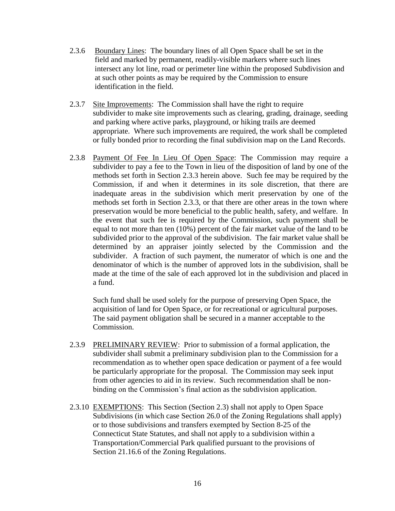- 2.3.6 Boundary Lines: The boundary lines of all Open Space shall be set in the field and marked by permanent, readily-visible markers where such lines intersect any lot line, road or perimeter line within the proposed Subdivision and at such other points as may be required by the Commission to ensure identification in the field.
- 2.3.7 Site Improvements: The Commission shall have the right to require subdivider to make site improvements such as clearing, grading, drainage, seeding and parking where active parks, playground, or hiking trails are deemed appropriate. Where such improvements are required, the work shall be completed or fully bonded prior to recording the final subdivision map on the Land Records.
- 2.3.8 Payment Of Fee In Lieu Of Open Space: The Commission may require a subdivider to pay a fee to the Town in lieu of the disposition of land by one of the methods set forth in Section 2.3.3 herein above. Such fee may be required by the Commission, if and when it determines in its sole discretion, that there are inadequate areas in the subdivision which merit preservation by one of the methods set forth in Section 2.3.3, or that there are other areas in the town where preservation would be more beneficial to the public health, safety, and welfare. In the event that such fee is required by the Commission, such payment shall be equal to not more than ten (10%) percent of the fair market value of the land to be subdivided prior to the approval of the subdivision. The fair market value shall be determined by an appraiser jointly selected by the Commission and the subdivider. A fraction of such payment, the numerator of which is one and the denominator of which is the number of approved lots in the subdivision, shall be made at the time of the sale of each approved lot in the subdivision and placed in a fund.

Such fund shall be used solely for the purpose of preserving Open Space, the acquisition of land for Open Space, or for recreational or agricultural purposes. The said payment obligation shall be secured in a manner acceptable to the Commission.

- 2.3.9 PRELIMINARY REVIEW: Prior to submission of a formal application, the subdivider shall submit a preliminary subdivision plan to the Commission for a recommendation as to whether open space dedication or payment of a fee would be particularly appropriate for the proposal. The Commission may seek input from other agencies to aid in its review. Such recommendation shall be nonbinding on the Commission's final action as the subdivision application.
- 2.3.10 EXEMPTIONS: This Section (Section 2.3) shall not apply to Open Space Subdivisions (in which case Section 26.0 of the Zoning Regulations shall apply) or to those subdivisions and transfers exempted by Section 8-25 of the Connecticut State Statutes, and shall not apply to a subdivision within a Transportation/Commercial Park qualified pursuant to the provisions of Section 21.16.6 of the Zoning Regulations.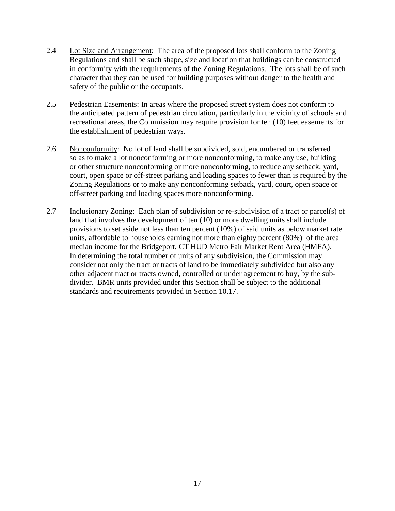- 2.4 Lot Size and Arrangement: The area of the proposed lots shall conform to the Zoning Regulations and shall be such shape, size and location that buildings can be constructed in conformity with the requirements of the Zoning Regulations. The lots shall be of such character that they can be used for building purposes without danger to the health and safety of the public or the occupants.
- 2.5 Pedestrian Easements: In areas where the proposed street system does not conform to the anticipated pattern of pedestrian circulation, particularly in the vicinity of schools and recreational areas, the Commission may require provision for ten (10) feet easements for the establishment of pedestrian ways.
- 2.6 Nonconformity: No lot of land shall be subdivided, sold, encumbered or transferred so as to make a lot nonconforming or more nonconforming, to make any use, building or other structure nonconforming or more nonconforming, to reduce any setback, yard, court, open space or off-street parking and loading spaces to fewer than is required by the Zoning Regulations or to make any nonconforming setback, yard, court, open space or off-street parking and loading spaces more nonconforming.
- 2.7 Inclusionary Zoning: Each plan of subdivision or re-subdivision of a tract or parcel(s) of land that involves the development of ten (10) or more dwelling units shall include provisions to set aside not less than ten percent (10%) of said units as below market rate units, affordable to households earning not more than eighty percent (80%) of the area median income for the Bridgeport, CT HUD Metro Fair Market Rent Area (HMFA). In determining the total number of units of any subdivision, the Commission may consider not only the tract or tracts of land to be immediately subdivided but also any other adjacent tract or tracts owned, controlled or under agreement to buy, by the subdivider. BMR units provided under this Section shall be subject to the additional standards and requirements provided in Section 10.17.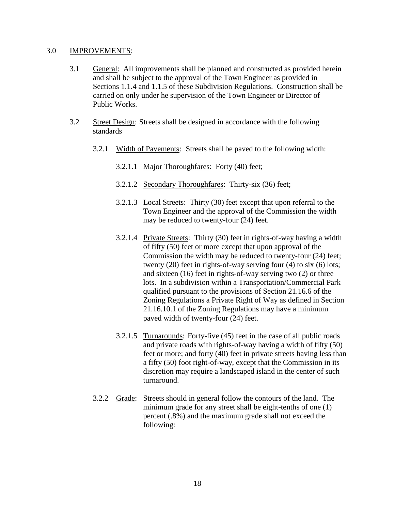#### 3.0 IMPROVEMENTS:

- 3.1 General: All improvements shall be planned and constructed as provided herein and shall be subject to the approval of the Town Engineer as provided in Sections 1.1.4 and 1.1.5 of these Subdivision Regulations. Construction shall be carried on only under he supervision of the Town Engineer or Director of Public Works.
- 3.2 Street Design: Streets shall be designed in accordance with the following standards
	- 3.2.1 Width of Pavements: Streets shall be paved to the following width:
		- 3.2.1.1 Major Thoroughfares: Forty (40) feet;
		- 3.2.1.2 Secondary Thoroughfares: Thirty-six (36) feet;
		- 3.2.1.3 Local Streets: Thirty (30) feet except that upon referral to the Town Engineer and the approval of the Commission the width may be reduced to twenty-four (24) feet.
		- 3.2.1.4 Private Streets: Thirty (30) feet in rights-of-way having a width of fifty (50) feet or more except that upon approval of the Commission the width may be reduced to twenty-four (24) feet; twenty (20) feet in rights-of-way serving four (4) to six (6) lots; and sixteen (16) feet in rights-of-way serving two (2) or three lots. In a subdivision within a Transportation/Commercial Park qualified pursuant to the provisions of Section 21.16.6 of the Zoning Regulations a Private Right of Way as defined in Section 21.16.10.1 of the Zoning Regulations may have a minimum paved width of twenty-four (24) feet.
		- 3.2.1.5 Turnarounds: Forty-five (45) feet in the case of all public roads and private roads with rights-of-way having a width of fifty (50) feet or more; and forty (40) feet in private streets having less than a fifty (50) foot right-of-way, except that the Commission in its discretion may require a landscaped island in the center of such turnaround.
	- 3.2.2 Grade: Streets should in general follow the contours of the land. The minimum grade for any street shall be eight-tenths of one (1) percent (.8%) and the maximum grade shall not exceed the following: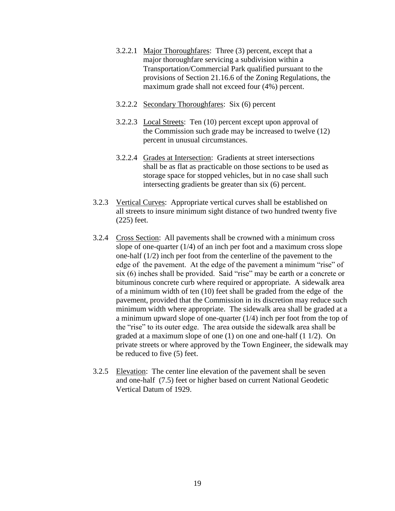- 3.2.2.1 Major Thoroughfares: Three (3) percent, except that a major thoroughfare servicing a subdivision within a Transportation/Commercial Park qualified pursuant to the provisions of Section 21.16.6 of the Zoning Regulations, the maximum grade shall not exceed four (4%) percent.
- 3.2.2.2 Secondary Thoroughfares: Six (6) percent
- 3.2.2.3 Local Streets: Ten (10) percent except upon approval of the Commission such grade may be increased to twelve (12) percent in unusual circumstances.
- 3.2.2.4 Grades at Intersection: Gradients at street intersections shall be as flat as practicable on those sections to be used as storage space for stopped vehicles, but in no case shall such intersecting gradients be greater than six (6) percent.
- 3.2.3 Vertical Curves: Appropriate vertical curves shall be established on all streets to insure minimum sight distance of two hundred twenty five (225) feet.
- 3.2.4 Cross Section: All pavements shall be crowned with a minimum cross slope of one-quarter  $(1/4)$  of an inch per foot and a maximum cross slope one-half (1/2) inch per foot from the centerline of the pavement to the edge of the pavement. At the edge of the pavement a minimum "rise" of six (6) inches shall be provided. Said "rise" may be earth or a concrete or bituminous concrete curb where required or appropriate. A sidewalk area of a minimum width of ten (10) feet shall be graded from the edge of the pavement, provided that the Commission in its discretion may reduce such minimum width where appropriate. The sidewalk area shall be graded at a a minimum upward slope of one-quarter (1/4) inch per foot from the top of the "rise" to its outer edge. The area outside the sidewalk area shall be graded at a maximum slope of one (1) on one and one-half (1 1/2). On private streets or where approved by the Town Engineer, the sidewalk may be reduced to five (5) feet.
- 3.2.5 Elevation: The center line elevation of the pavement shall be seven and one-half (7.5) feet or higher based on current National Geodetic Vertical Datum of 1929.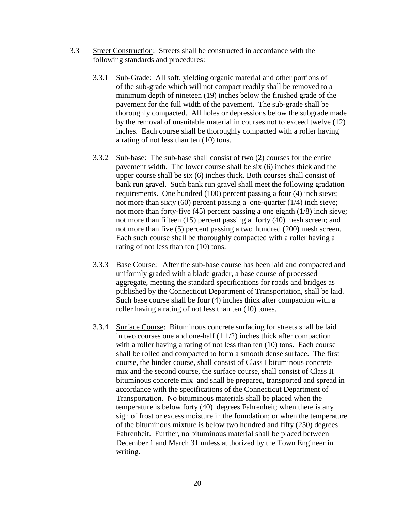- 3.3 Street Construction: Streets shall be constructed in accordance with the following standards and procedures:
	- 3.3.1 Sub-Grade: All soft, yielding organic material and other portions of of the sub-grade which will not compact readily shall be removed to a minimum depth of nineteen (19) inches below the finished grade of the pavement for the full width of the pavement. The sub-grade shall be thoroughly compacted. All holes or depressions below the subgrade made by the removal of unsuitable material in courses not to exceed twelve (12) inches. Each course shall be thoroughly compacted with a roller having a rating of not less than ten (10) tons.
	- 3.3.2 Sub-base: The sub-base shall consist of two (2) courses for the entire pavement width. The lower course shall be six (6) inches thick and the upper course shall be six (6) inches thick. Both courses shall consist of bank run gravel. Such bank run gravel shall meet the following gradation requirements. One hundred (100) percent passing a four (4) inch sieve; not more than sixty  $(60)$  percent passing a one-quarter  $(1/4)$  inch sieve; not more than forty-five (45) percent passing a one eighth (1/8) inch sieve; not more than fifteen (15) percent passing a forty (40) mesh screen; and not more than five (5) percent passing a two hundred (200) mesh screen. Each such course shall be thoroughly compacted with a roller having a rating of not less than ten (10) tons.
	- 3.3.3 Base Course: After the sub-base course has been laid and compacted and uniformly graded with a blade grader, a base course of processed aggregate, meeting the standard specifications for roads and bridges as published by the Connecticut Department of Transportation, shall be laid. Such base course shall be four (4) inches thick after compaction with a roller having a rating of not less than ten (10) tones.
	- 3.3.4 Surface Course: Bituminous concrete surfacing for streets shall be laid in two courses one and one-half (1 1/2) inches thick after compaction with a roller having a rating of not less than ten (10) tons. Each course shall be rolled and compacted to form a smooth dense surface. The first course, the binder course, shall consist of Class I bituminous concrete mix and the second course, the surface course, shall consist of Class II bituminous concrete mix and shall be prepared, transported and spread in accordance with the specifications of the Connecticut Department of Transportation. No bituminous materials shall be placed when the temperature is below forty (40) degrees Fahrenheit; when there is any sign of frost or excess moisture in the foundation; or when the temperature of the bituminous mixture is below two hundred and fifty (250) degrees Fahrenheit. Further, no bituminous material shall be placed between December 1 and March 31 unless authorized by the Town Engineer in writing.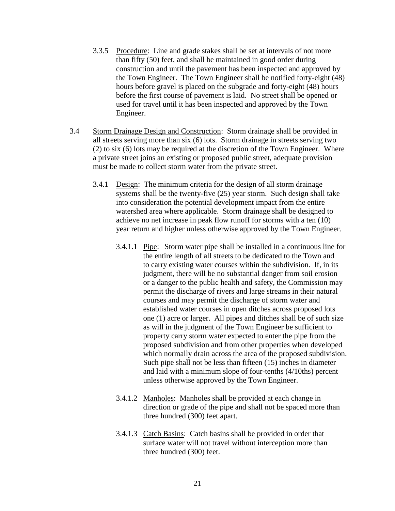- 3.3.5 Procedure: Line and grade stakes shall be set at intervals of not more than fifty (50) feet, and shall be maintained in good order during construction and until the pavement has been inspected and approved by the Town Engineer. The Town Engineer shall be notified forty-eight (48) hours before gravel is placed on the subgrade and forty-eight (48) hours before the first course of pavement is laid. No street shall be opened or used for travel until it has been inspected and approved by the Town Engineer.
- 3.4 Storm Drainage Design and Construction: Storm drainage shall be provided in all streets serving more than six (6) lots. Storm drainage in streets serving two (2) to six (6) lots may be required at the discretion of the Town Engineer. Where a private street joins an existing or proposed public street, adequate provision must be made to collect storm water from the private street.
	- 3.4.1 Design: The minimum criteria for the design of all storm drainage systems shall be the twenty-five (25) year storm. Such design shall take into consideration the potential development impact from the entire watershed area where applicable. Storm drainage shall be designed to achieve no net increase in peak flow runoff for storms with a ten (10) year return and higher unless otherwise approved by the Town Engineer.
		- 3.4.1.1 Pipe: Storm water pipe shall be installed in a continuous line for the entire length of all streets to be dedicated to the Town and to carry existing water courses within the subdivision. If, in its judgment, there will be no substantial danger from soil erosion or a danger to the public health and safety, the Commission may permit the discharge of rivers and large streams in their natural courses and may permit the discharge of storm water and established water courses in open ditches across proposed lots one (1) acre or larger. All pipes and ditches shall be of such size as will in the judgment of the Town Engineer be sufficient to property carry storm water expected to enter the pipe from the proposed subdivision and from other properties when developed which normally drain across the area of the proposed subdivision. Such pipe shall not be less than fifteen (15) inches in diameter and laid with a minimum slope of four-tenths (4/10ths) percent unless otherwise approved by the Town Engineer.
		- 3.4.1.2 Manholes: Manholes shall be provided at each change in direction or grade of the pipe and shall not be spaced more than three hundred (300) feet apart.
		- 3.4.1.3 Catch Basins: Catch basins shall be provided in order that surface water will not travel without interception more than three hundred (300) feet.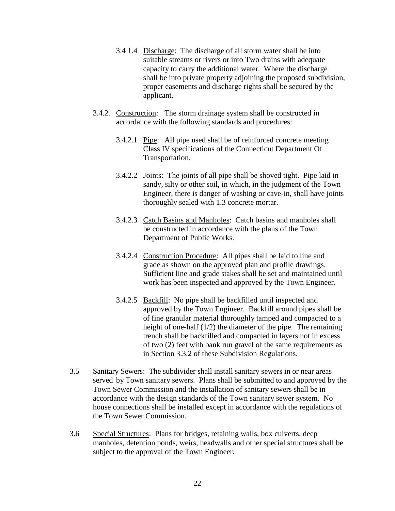- 3.4 1.4 Discharge: The discharge of all storm water shall be into suitable streams or rivers or into Two drains with adequate capacity to carry the additional water. Where the discharge shall be into private property adjoining the proposed subdivision, proper easements and discharge rights shall be secured by the applicant.
- 3.4.2. Construction: The storm drainage system shall be constructed in accordance with the following standards and procedures:
	- 3.4.2.1 Pipe: All pipe used shall be of reinforced concrete meeting Class IV specifications of the Connecticut Department Of Transportation.
	- 3.4.2.2 Joints: The joints of all pipe shall be shoved tight. Pipe laid in sandy, silty or other soil, in which, in the judgment of the Town Engineer, there is danger of washing or cave-in, shall have joints thoroughly sealed with 1.3 concrete mortar.
	- 3.4.2.3 Catch Basins and Manholes: Catch basins and manholes shall be constructed in accordance with the plans of the Town Department of Public Works.
	- 3.4.2.4 Construction Procedure: All pipes shall be laid to line and grade as shown on the approved plan and profile drawings. Sufficient line and grade stakes shall be set and maintained until work has been inspected and approved by the Town Engineer.
	- 3.4.2.5 Backfill: No pipe shall be backfilled until inspected and approved by the Town Engineer. Backfill around pipes shall be of fine granular material thoroughly tamped and compacted to a height of one-half (1/2) the diameter of the pipe. The remaining trench shall be backfilled and compacted in layers not in excess of two (2) feet with bank run gravel of the same requirements as in Section 3.3.2 of these Subdivision Regulations.
- 3.5 Sanitary Sewers: The subdivider shall install sanitary sewers in or near areas served by Town sanitary sewers. Plans shall be submitted to and approved by the Town Sewer Commission and the installation of sanitary sewers shall be in accordance with the design standards of the Town sanitary sewer system. No house connections shall be installed except in accordance with the regulations of the Town Sewer Commission.
- 3.6 Special Structures: Plans for bridges, retaining walls, box culverts, deep manholes, detention ponds, weirs, headwalls and other special structures shall be subject to the approval of the Town Engineer.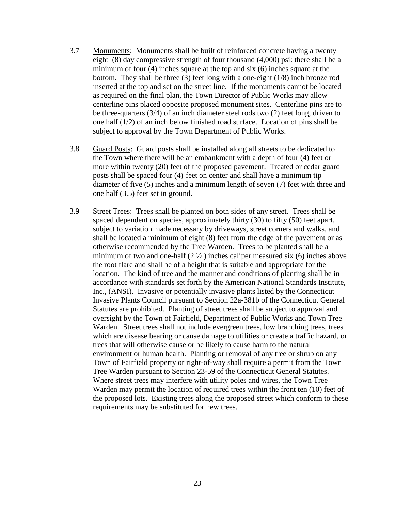- 3.7 Monuments: Monuments shall be built of reinforced concrete having a twenty eight (8) day compressive strength of four thousand (4,000) psi: there shall be a minimum of four (4) inches square at the top and six (6) inches square at the bottom. They shall be three (3) feet long with a one-eight (1/8) inch bronze rod inserted at the top and set on the street line. If the monuments cannot be located as required on the final plan, the Town Director of Public Works may allow centerline pins placed opposite proposed monument sites. Centerline pins are to be three-quarters (3/4) of an inch diameter steel rods two (2) feet long, driven to one half  $(1/2)$  of an inch below finished road surface. Location of pins shall be subject to approval by the Town Department of Public Works.
- 3.8 Guard Posts: Guard posts shall be installed along all streets to be dedicated to the Town where there will be an embankment with a depth of four (4) feet or more within twenty (20) feet of the proposed pavement. Treated or cedar guard posts shall be spaced four (4) feet on center and shall have a minimum tip diameter of five (5) inches and a minimum length of seven (7) feet with three and one half (3.5) feet set in ground.
- 3.9 Street Trees: Trees shall be planted on both sides of any street. Trees shall be spaced dependent on species, approximately thirty (30) to fifty (50) feet apart, subject to variation made necessary by driveways, street corners and walks, and shall be located a minimum of eight (8) feet from the edge of the pavement or as otherwise recommended by the Tree Warden. Trees to be planted shall be a minimum of two and one-half  $(2 \frac{1}{2})$  inches caliper measured six (6) inches above the root flare and shall be of a height that is suitable and appropriate for the location. The kind of tree and the manner and conditions of planting shall be in accordance with standards set forth by the American National Standards Institute, Inc., (ANSI). Invasive or potentially invasive plants listed by the Connecticut Invasive Plants Council pursuant to Section 22a-381b of the Connecticut General Statutes are prohibited. Planting of street trees shall be subject to approval and oversight by the Town of Fairfield, Department of Public Works and Town Tree Warden. Street trees shall not include evergreen trees, low branching trees, trees which are disease bearing or cause damage to utilities or create a traffic hazard, or trees that will otherwise cause or be likely to cause harm to the natural environment or human health. Planting or removal of any tree or shrub on any Town of Fairfield property or right-of-way shall require a permit from the Town Tree Warden pursuant to Section 23-59 of the Connecticut General Statutes. Where street trees may interfere with utility poles and wires, the Town Tree Warden may permit the location of required trees within the front ten (10) feet of the proposed lots. Existing trees along the proposed street which conform to these requirements may be substituted for new trees.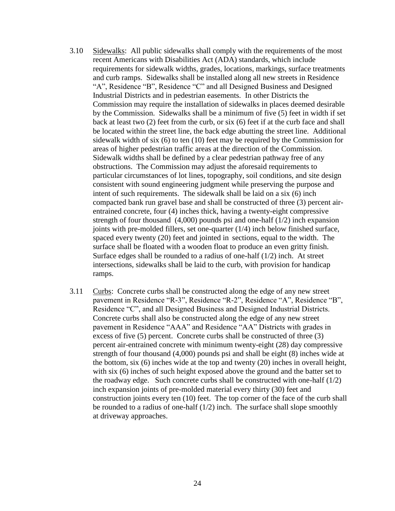- 3.10 Sidewalks: All public sidewalks shall comply with the requirements of the most recent Americans with Disabilities Act (ADA) standards, which include requirements for sidewalk widths, grades, locations, markings, surface treatments and curb ramps. Sidewalks shall be installed along all new streets in Residence "A", Residence "B", Residence "C" and all Designed Business and Designed Industrial Districts and in pedestrian easements. In other Districts the Commission may require the installation of sidewalks in places deemed desirable by the Commission. Sidewalks shall be a minimum of five (5) feet in width if set back at least two (2) feet from the curb, or six (6) feet if at the curb face and shall be located within the street line, the back edge abutting the street line. Additional sidewalk width of six (6) to ten (10) feet may be required by the Commission for areas of higher pedestrian traffic areas at the direction of the Commission. Sidewalk widths shall be defined by a clear pedestrian pathway free of any obstructions. The Commission may adjust the aforesaid requirements to particular circumstances of lot lines, topography, soil conditions, and site design consistent with sound engineering judgment while preserving the purpose and intent of such requirements. The sidewalk shall be laid on a six (6) inch compacted bank run gravel base and shall be constructed of three (3) percent airentrained concrete, four (4) inches thick, having a twenty-eight compressive strength of four thousand (4,000) pounds psi and one-half (1/2) inch expansion joints with pre-molded fillers, set one-quarter (1/4) inch below finished surface, spaced every twenty (20) feet and jointed in sections, equal to the width. The surface shall be floated with a wooden float to produce an even gritty finish. Surface edges shall be rounded to a radius of one-half (1/2) inch. At street intersections, sidewalks shall be laid to the curb, with provision for handicap ramps.
- 3.11 Curbs: Concrete curbs shall be constructed along the edge of any new street pavement in Residence "R-3", Residence "R-2", Residence "A", Residence "B", Residence "C", and all Designed Business and Designed Industrial Districts. Concrete curbs shall also be constructed along the edge of any new street pavement in Residence "AAA" and Residence "AA" Districts with grades in excess of five (5) percent. Concrete curbs shall be constructed of three (3) percent air-entrained concrete with minimum twenty-eight (28) day compressive strength of four thousand (4,000) pounds psi and shall be eight (8) inches wide at the bottom, six (6) inches wide at the top and twenty (20) inches in overall height, with six (6) inches of such height exposed above the ground and the batter set to the roadway edge. Such concrete curbs shall be constructed with one-half  $(1/2)$ inch expansion joints of pre-molded material every thirty (30) feet and construction joints every ten (10) feet. The top corner of the face of the curb shall be rounded to a radius of one-half  $(1/2)$  inch. The surface shall slope smoothly at driveway approaches.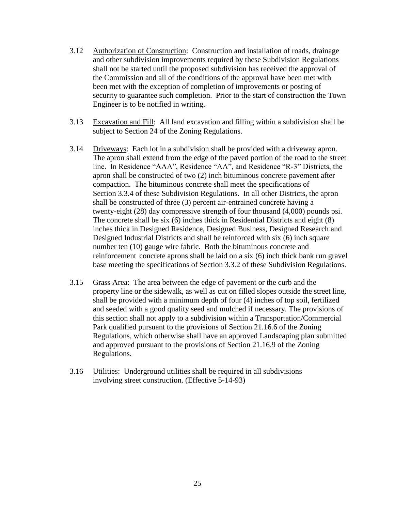- 3.12 Authorization of Construction: Construction and installation of roads, drainage and other subdivision improvements required by these Subdivision Regulations shall not be started until the proposed subdivision has received the approval of the Commission and all of the conditions of the approval have been met with been met with the exception of completion of improvements or posting of security to guarantee such completion. Prior to the start of construction the Town Engineer is to be notified in writing.
- 3.13 Excavation and Fill: All land excavation and filling within a subdivision shall be subject to Section 24 of the Zoning Regulations.
- 3.14 Driveways: Each lot in a subdivision shall be provided with a driveway apron. The apron shall extend from the edge of the paved portion of the road to the street line. In Residence "AAA", Residence "AA", and Residence "R-3" Districts, the apron shall be constructed of two (2) inch bituminous concrete pavement after compaction. The bituminous concrete shall meet the specifications of Section 3.3.4 of these Subdivision Regulations. In all other Districts, the apron shall be constructed of three (3) percent air-entrained concrete having a twenty-eight (28) day compressive strength of four thousand (4,000) pounds psi. The concrete shall be six (6) inches thick in Residential Districts and eight (8) inches thick in Designed Residence, Designed Business, Designed Research and Designed Industrial Districts and shall be reinforced with six (6) inch square number ten (10) gauge wire fabric. Both the bituminous concrete and reinforcement concrete aprons shall be laid on a six (6) inch thick bank run gravel base meeting the specifications of Section 3.3.2 of these Subdivision Regulations.
- 3.15 Grass Area: The area between the edge of pavement or the curb and the property line or the sidewalk, as well as cut on filled slopes outside the street line, shall be provided with a minimum depth of four (4) inches of top soil, fertilized and seeded with a good quality seed and mulched if necessary. The provisions of this section shall not apply to a subdivision within a Transportation/Commercial Park qualified pursuant to the provisions of Section 21.16.6 of the Zoning Regulations, which otherwise shall have an approved Landscaping plan submitted and approved pursuant to the provisions of Section 21.16.9 of the Zoning Regulations.
- 3.16 Utilities: Underground utilities shall be required in all subdivisions involving street construction. (Effective 5-14-93)